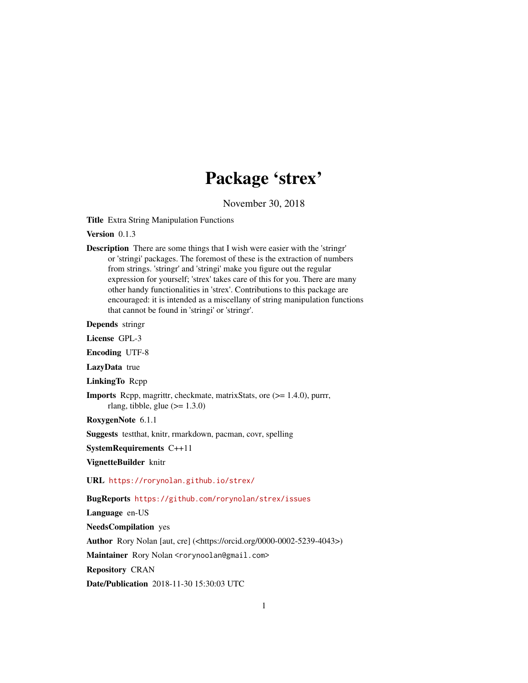# Package 'strex'

November 30, 2018

<span id="page-0-0"></span>Title Extra String Manipulation Functions

Version 0.1.3

Description There are some things that I wish were easier with the 'stringr' or 'stringi' packages. The foremost of these is the extraction of numbers from strings. 'stringr' and 'stringi' make you figure out the regular expression for yourself; 'strex' takes care of this for you. There are many other handy functionalities in 'strex'. Contributions to this package are encouraged: it is intended as a miscellany of string manipulation functions that cannot be found in 'stringi' or 'stringr'.

Depends stringr

License GPL-3

Encoding UTF-8

LazyData true

LinkingTo Rcpp

- Imports Rcpp, magrittr, checkmate, matrixStats, ore (>= 1.4.0), purrr, rlang, tibble, glue  $(>= 1.3.0)$
- RoxygenNote 6.1.1

Suggests testthat, knitr, rmarkdown, pacman, covr, spelling

SystemRequirements C++11

VignetteBuilder knitr

URL <https://rorynolan.github.io/strex/>

BugReports <https://github.com/rorynolan/strex/issues>

Language en-US

NeedsCompilation yes

Author Rory Nolan [aut, cre] (<https://orcid.org/0000-0002-5239-4043>)

Maintainer Rory Nolan <rorynoolan@gmail.com>

Repository CRAN

Date/Publication 2018-11-30 15:30:03 UTC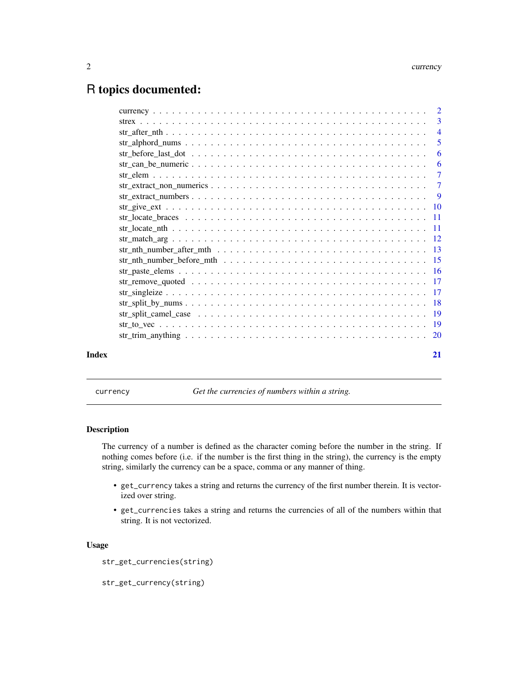# <span id="page-1-0"></span>R topics documented:

|       | 5  |
|-------|----|
|       |    |
|       |    |
|       |    |
|       |    |
|       |    |
|       |    |
|       |    |
|       |    |
|       |    |
|       |    |
|       |    |
|       |    |
|       |    |
|       |    |
|       |    |
|       |    |
|       |    |
|       |    |
| Index | 21 |

currency *Get the currencies of numbers within a string.*

#### Description

The currency of a number is defined as the character coming before the number in the string. If nothing comes before (i.e. if the number is the first thing in the string), the currency is the empty string, similarly the currency can be a space, comma or any manner of thing.

- get\_currency takes a string and returns the currency of the first number therein. It is vectorized over string.
- get\_currencies takes a string and returns the currencies of all of the numbers within that string. It is not vectorized.

# Usage

str\_get\_currencies(string)

```
str_get_currency(string)
```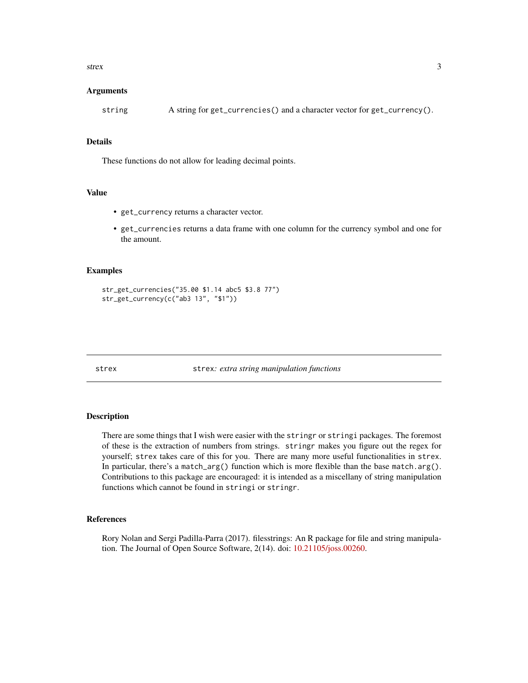#### <span id="page-2-0"></span>strex 3

#### Arguments

string A string for get\_currencies() and a character vector for get\_currency().

# Details

These functions do not allow for leading decimal points.

# Value

- get\_currency returns a character vector.
- get\_currencies returns a data frame with one column for the currency symbol and one for the amount.

#### Examples

```
str_get_currencies("35.00 $1.14 abc5 $3.8 77")
str_get_currency(c("ab3 13", "$1"))
```
strex strex*: extra string manipulation functions*

#### **Description**

There are some things that I wish were easier with the stringr or stringi packages. The foremost of these is the extraction of numbers from strings. stringr makes you figure out the regex for yourself; strex takes care of this for you. There are many more useful functionalities in strex. In particular, there's a match\_arg() function which is more flexible than the base match.arg(). Contributions to this package are encouraged: it is intended as a miscellany of string manipulation functions which cannot be found in stringi or stringr.

#### References

Rory Nolan and Sergi Padilla-Parra (2017). filesstrings: An R package for file and string manipulation. The Journal of Open Source Software, 2(14). doi: [10.21105/joss.00260.](http://doi.org/10.21105/joss.00260)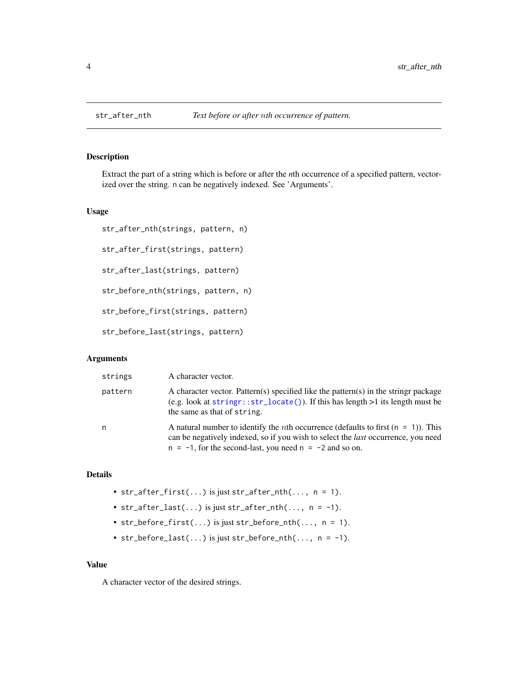# Description

Extract the part of a string which is before or after the *n*th occurrence of a specified pattern, vectorized over the string. n can be negatively indexed. See 'Arguments'.

#### Usage

```
str_after_nth(strings, pattern, n)
str_after_first(strings, pattern)
str_after_last(strings, pattern)
str_before_nth(strings, pattern, n)
str_before_first(strings, pattern)
str_before_last(strings, pattern)
```
# Arguments

| strings | A character vector.                                                                                                                                                                                                                                      |
|---------|----------------------------------------------------------------------------------------------------------------------------------------------------------------------------------------------------------------------------------------------------------|
| pattern | A character vector. Pattern(s) specified like the pattern(s) in the stringr package<br>(e.g. look at $stringr::str\_located()$ ). If this has length $>1$ its length must be<br>the same as that of string.                                              |
| n       | A natural number to identify the <i>n</i> th occurrence (defaults to first $(n = 1)$ ). This<br>can be negatively indexed, so if you wish to select the <i>last</i> occurrence, you need<br>$n = -1$ , for the second-last, you need $n = -2$ and so on. |

# Details

- str\_after\_first( $\ldots$ ) is just str\_after\_nth( $\ldots$ , n = 1).
- $str_after_last(...)$  is just  $str_after_lth(..., n = -1)$ .
- str\_before\_first $(...)$  is just str\_before\_nth $(..., n = 1)$ .
- str\_before\_last(...) is just str\_before\_nth(...,  $n = -1$ ).

# Value

A character vector of the desired strings.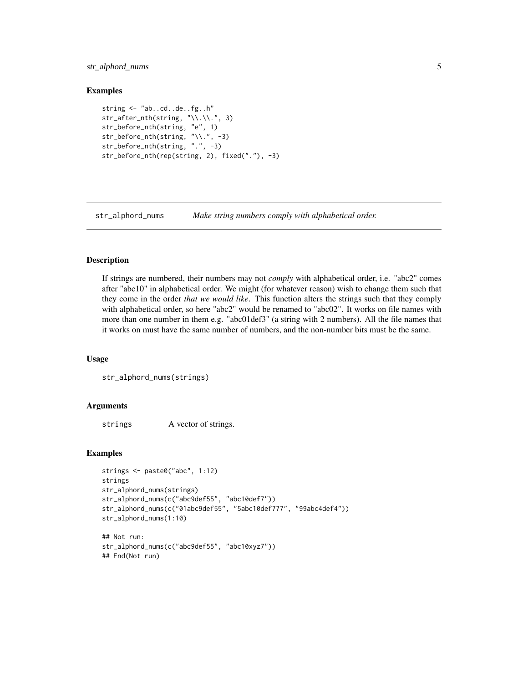# <span id="page-4-0"></span>str\_alphord\_nums 5

### Examples

```
string <- "ab..cd..de..fg..h"
str_after_nth(string, "\\.\\.", 3)
str_before_nth(string, "e", 1)
str_before_nth(string, "\\.", -3)
str_before_nth(string, ".", -3)
str_before_nth(rep(string, 2), fixed("."), -3)
```
str\_alphord\_nums *Make string numbers comply with alphabetical order.*

# **Description**

If strings are numbered, their numbers may not *comply* with alphabetical order, i.e. "abc2" comes after "abc10" in alphabetical order. We might (for whatever reason) wish to change them such that they come in the order *that we would like*. This function alters the strings such that they comply with alphabetical order, so here "abc2" would be renamed to "abc02". It works on file names with more than one number in them e.g. "abc01def3" (a string with 2 numbers). All the file names that it works on must have the same number of numbers, and the non-number bits must be the same.

# Usage

```
str_alphord_nums(strings)
```
#### Arguments

strings A vector of strings.

```
strings <- paste0("abc", 1:12)
strings
str_alphord_nums(strings)
str_alphord_nums(c("abc9def55", "abc10def7"))
str_alphord_nums(c("01abc9def55", "5abc10def777", "99abc4def4"))
str_alphord_nums(1:10)
## Not run:
```

```
str_alphord_nums(c("abc9def55", "abc10xyz7"))
## End(Not run)
```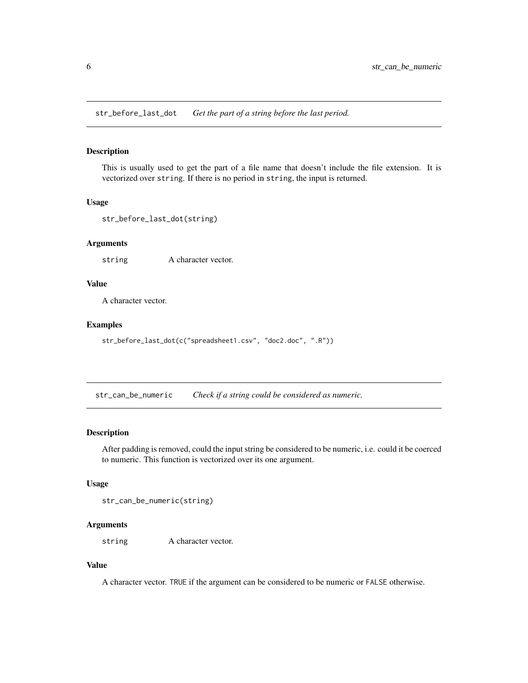<span id="page-5-0"></span>str\_before\_last\_dot *Get the part of a string before the last period.*

# Description

This is usually used to get the part of a file name that doesn't include the file extension. It is vectorized over string. If there is no period in string, the input is returned.

#### Usage

```
str_before_last_dot(string)
```
# Arguments

string A character vector.

# Value

A character vector.

# Examples

```
str_before_last_dot(c("spreadsheet1.csv", "doc2.doc", ".R"))
```
str\_can\_be\_numeric *Check if a string could be considered as numeric.*

# Description

After padding is removed, could the input string be considered to be numeric, i.e. could it be coerced to numeric. This function is vectorized over its one argument.

# Usage

str\_can\_be\_numeric(string)

#### Arguments

string A character vector.

# Value

A character vector. TRUE if the argument can be considered to be numeric or FALSE otherwise.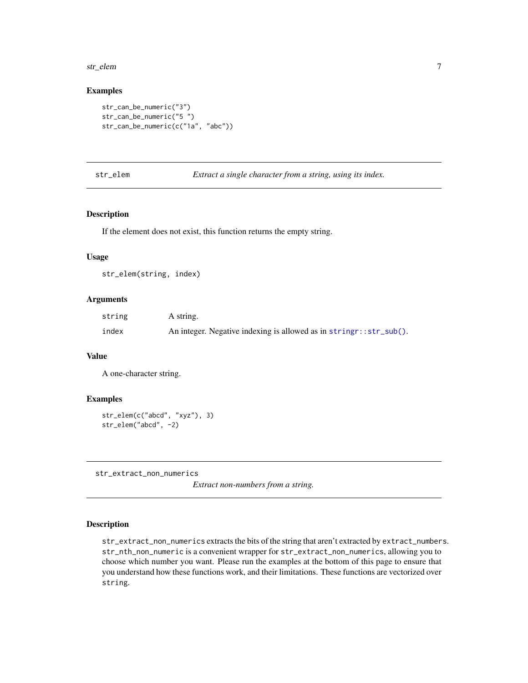#### <span id="page-6-0"></span>str\_elem 7

#### Examples

```
str_can_be_numeric("3")
str_can_be_numeric("5 ")
str_can_be_numeric(c("1a", "abc"))
```
# str\_elem *Extract a single character from a string, using its index.*

# Description

If the element does not exist, this function returns the empty string.

#### Usage

str\_elem(string, index)

# Arguments

| string | A string.                                                          |
|--------|--------------------------------------------------------------------|
| index  | An integer. Negative indexing is allowed as in stringr::str_sub(). |

# Value

A one-character string.

# Examples

```
str_elem(c("abcd", "xyz"), 3)
str_elem("abcd", -2)
```
str\_extract\_non\_numerics

*Extract non-numbers from a string.*

# Description

str\_extract\_non\_numerics extracts the bits of the string that aren't extracted by extract\_numbers. str\_nth\_non\_numeric is a convenient wrapper for str\_extract\_non\_numerics, allowing you to choose which number you want. Please run the examples at the bottom of this page to ensure that you understand how these functions work, and their limitations. These functions are vectorized over string.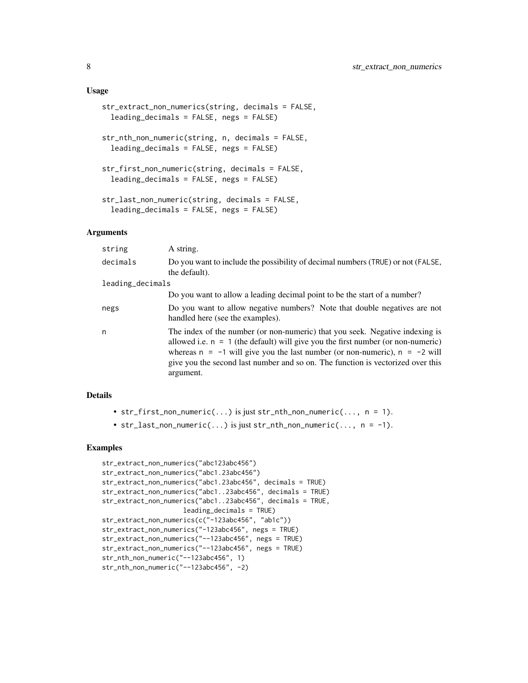#### Usage

```
str_extract_non_numerics(string, decimals = FALSE,
 leading_decimals = FALSE, negs = FALSE)
str_nth_non_numeric(string, n, decimals = FALSE,
  leading_decimals = FALSE, negs = FALSE)
str_first_non_numeric(string, decimals = FALSE,
  leading_decimals = FALSE, negs = FALSE)
str_last_non_numeric(string, decimals = FALSE,
  leading_decimals = FALSE, negs = FALSE)
```
# Arguments

| string           | A string.                                                                                                                                                                                                                                                                                                                                            |
|------------------|------------------------------------------------------------------------------------------------------------------------------------------------------------------------------------------------------------------------------------------------------------------------------------------------------------------------------------------------------|
| decimals         | Do you want to include the possibility of decimal numbers (TRUE) or not (FALSE,<br>the default).                                                                                                                                                                                                                                                     |
| leading_decimals |                                                                                                                                                                                                                                                                                                                                                      |
|                  | Do you want to allow a leading decimal point to be the start of a number?                                                                                                                                                                                                                                                                            |
| negs             | Do you want to allow negative numbers? Note that double negatives are not<br>handled here (see the examples).                                                                                                                                                                                                                                        |
| n                | The index of the number (or non-numeric) that you seek. Negative indexing is<br>allowed i.e. $n = 1$ (the default) will give you the first number (or non-numeric)<br>whereas $n = -1$ will give you the last number (or non-numeric), $n = -2$ will<br>give you the second last number and so on. The function is vectorized over this<br>argument. |

#### Details

- $str_first\_non_numberic(...)$  is just str\_nth\_non\_numeric(..., n = 1).
- str\_last\_non\_numeric(...) is just str\_nth\_non\_numeric(...,  $n = -1$ ).

```
str_extract_non_numerics("abc123abc456")
str_extract_non_numerics("abc1.23abc456")
str_extract_non_numerics("abc1.23abc456", decimals = TRUE)
str_extract_non_numerics("abc1..23abc456", decimals = TRUE)
str_extract_non_numerics("abc1..23abc456", decimals = TRUE,
                    leading_decimals = TRUE)
str_extract_non_numerics(c("-123abc456", "ab1c"))
str_extract_non_numerics("-123abc456", negs = TRUE)
str_extract_non_numerics("--123abc456", negs = TRUE)
str_extract_non_numerics("--123abc456", negs = TRUE)
str_nth_non_numeric("--123abc456", 1)
str_nth_non_numeric("--123abc456", -2)
```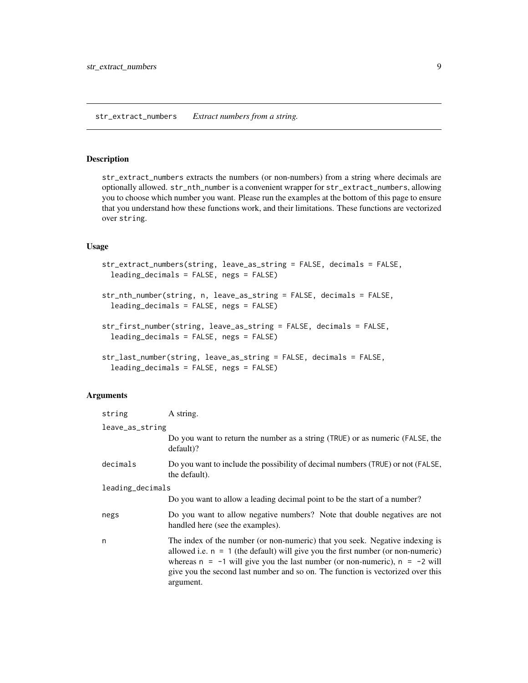#### <span id="page-8-0"></span>Description

str\_extract\_numbers extracts the numbers (or non-numbers) from a string where decimals are optionally allowed. str\_nth\_number is a convenient wrapper for str\_extract\_numbers, allowing you to choose which number you want. Please run the examples at the bottom of this page to ensure that you understand how these functions work, and their limitations. These functions are vectorized over string.

# Usage

```
str_extract_numbers(string, leave_as_string = FALSE, decimals = FALSE,
 leading_decimals = FALSE, negs = FALSE)
```

```
str_nth_number(string, n, leave_as_string = FALSE, decimals = FALSE,
  leading_decimals = FALSE, negs = FALSE)
```

```
str_first_number(string, leave_as_string = FALSE, decimals = FALSE,
  leading_decimals = FALSE, negs = FALSE)
```

```
str_last_number(string, leave_as_string = FALSE, decimals = FALSE,
  leading_decimals = FALSE, negs = FALSE)
```
# Arguments

| string          | A string.                                                                                                                                                                                                                                                                                                                                            |  |  |
|-----------------|------------------------------------------------------------------------------------------------------------------------------------------------------------------------------------------------------------------------------------------------------------------------------------------------------------------------------------------------------|--|--|
| leave_as_string |                                                                                                                                                                                                                                                                                                                                                      |  |  |
|                 | Do you want to return the number as a string (TRUE) or as numeric (FALSE, the<br>$default$ ?                                                                                                                                                                                                                                                         |  |  |
| decimals        | Do you want to include the possibility of decimal numbers (TRUE) or not (FALSE,<br>the default).                                                                                                                                                                                                                                                     |  |  |
|                 | leading_decimals                                                                                                                                                                                                                                                                                                                                     |  |  |
|                 | Do you want to allow a leading decimal point to be the start of a number?                                                                                                                                                                                                                                                                            |  |  |
| negs            | Do you want to allow negative numbers? Note that double negatives are not<br>handled here (see the examples).                                                                                                                                                                                                                                        |  |  |
| n               | The index of the number (or non-numeric) that you seek. Negative indexing is<br>allowed i.e. $n = 1$ (the default) will give you the first number (or non-numeric)<br>whereas $n = -1$ will give you the last number (or non-numeric), $n = -2$ will<br>give you the second last number and so on. The function is vectorized over this<br>argument. |  |  |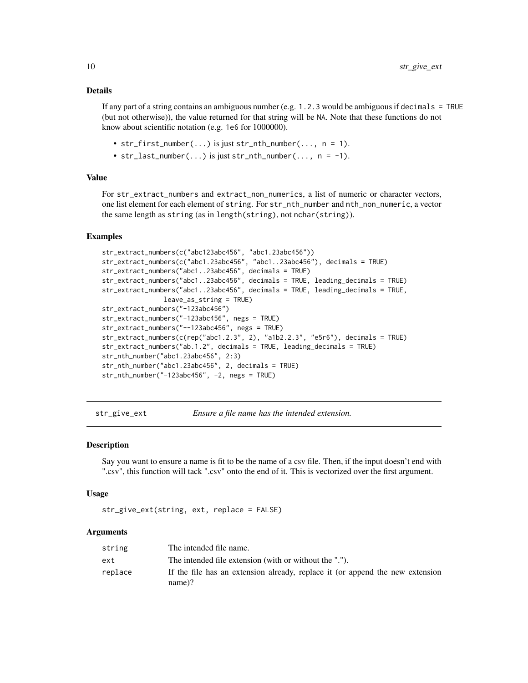# <span id="page-9-0"></span>Details

If any part of a string contains an ambiguous number (e.g. 1.2.3 would be ambiguous if decimals = TRUE (but not otherwise)), the value returned for that string will be NA. Note that these functions do not know about scientific notation (e.g. 1e6 for 1000000).

- str\_first\_number(...) is just str\_nth\_number(...,  $n = 1$ ).
- str\_last\_number(...) is just str\_nth\_number(...,  $n = -1$ ).

#### Value

For str\_extract\_numbers and extract\_non\_numerics, a list of numeric or character vectors, one list element for each element of string. For str\_nth\_number and nth\_non\_numeric, a vector the same length as string (as in length(string), not nchar(string)).

#### Examples

```
str_extract_numbers(c("abc123abc456", "abc1.23abc456"))
str_extract_numbers(c("abc1.23abc456", "abc1..23abc456"), decimals = TRUE)
str_extract_numbers("abc1..23abc456", decimals = TRUE)
str_extract_numbers("abc1..23abc456", decimals = TRUE, leading_decimals = TRUE)
str_extract_numbers("abc1..23abc456", decimals = TRUE, leading_decimals = TRUE,
               leave_as_string = TRUE)
str_extract_numbers("-123abc456")
str_extract_numbers("-123abc456", negs = TRUE)
str_extract_numbers("--123abc456", negs = TRUE)
str_extract_numbers(c(rep("abc1.2.3", 2), "a1b2.2.3", "e5r6"), decimals = TRUE)
str_extract_numbers("ab.1.2", decimals = TRUE, leading_decimals = TRUE)
str_nth_number("abc1.23abc456", 2:3)
str_nth_number("abc1.23abc456", 2, decimals = TRUE)
str_nth_number("-123abc456", -2, negs = TRUE)
```
str\_give\_ext *Ensure a file name has the intended extension.*

#### Description

Say you want to ensure a name is fit to be the name of a csv file. Then, if the input doesn't end with ".csv", this function will tack ".csv" onto the end of it. This is vectorized over the first argument.

#### Usage

```
str_give_ext(string, ext, replace = FALSE)
```
#### Arguments

| string  | The intended file name.                                                                    |
|---------|--------------------------------------------------------------------------------------------|
| ext     | The intended file extension (with or without the ".").                                     |
| replace | If the file has an extension already, replace it (or append the new extension<br>$name)$ ? |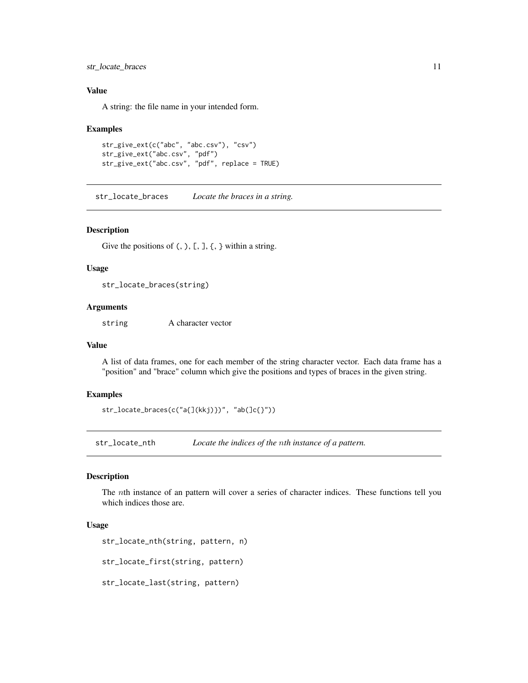<span id="page-10-0"></span>str\_locate\_braces 11

# Value

A string: the file name in your intended form.

#### Examples

```
str_give_ext(c("abc", "abc.csv"), "csv")
str_give_ext("abc.csv", "pdf")
str_give_ext("abc.csv", "pdf", replace = TRUE)
```
str\_locate\_braces *Locate the braces in a string.*

#### Description

Give the positions of  $(,)$ ,  $[$ ,  $]$ ,  $[$ ,  $]$  within a string.

#### Usage

str\_locate\_braces(string)

# Arguments

string A character vector

#### Value

A list of data frames, one for each member of the string character vector. Each data frame has a "position" and "brace" column which give the positions and types of braces in the given string.

#### Examples

```
str_locate_braces(c("a{](kkj)})", "ab(]c{}"))
```
str\_locate\_nth *Locate the indices of the* n*th instance of a pattern.*

#### Description

The nth instance of an pattern will cover a series of character indices. These functions tell you which indices those are.

### Usage

```
str_locate_nth(string, pattern, n)
```
str\_locate\_first(string, pattern)

str\_locate\_last(string, pattern)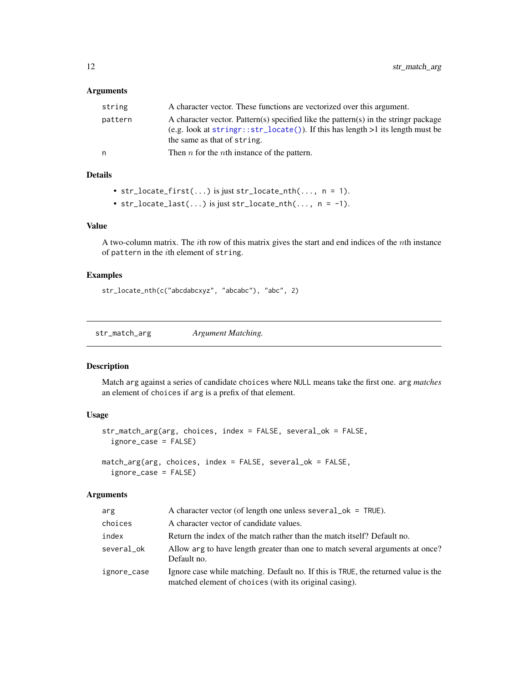# <span id="page-11-0"></span>Arguments

| string  | A character vector. These functions are vectorized over this argument.                                                                                                                                     |
|---------|------------------------------------------------------------------------------------------------------------------------------------------------------------------------------------------------------------|
| pattern | A character vector. Pattern(s) specified like the pattern(s) in the stringr package<br>(e.g. look at string $r:str\_locate()$ ). If this has length $>1$ its length must be<br>the same as that of string. |
| n       | Then $n$ for the <i>n</i> th instance of the pattern.                                                                                                                                                      |

# Details

```
• str_locate_first(...) is just str_locate_nth(..., n = 1).
```

```
• str_locate_last(...) is just str_locate_nth(..., n = -1).
```
# Value

A two-column matrix. The *i*th row of this matrix gives the start and end indices of the  $n$ th instance of pattern in the ith element of string.

# Examples

str\_locate\_nth(c("abcdabcxyz", "abcabc"), "abc", 2)

str\_match\_arg *Argument Matching.*

# Description

Match arg against a series of candidate choices where NULL means take the first one. arg *matches* an element of choices if arg is a prefix of that element.

# Usage

```
str_match_arg(arg, choices, index = FALSE, several_ok = FALSE,
  ignore_case = FALSE)
match_arg(arg, choices, index = FALSE, several_ok = FALSE,
  ignore_case = FALSE)
```
# Arguments

| arg         | A character vector (of length one unless several $\alpha$ = TRUE).                                                                           |
|-------------|----------------------------------------------------------------------------------------------------------------------------------------------|
| choices     | A character vector of candidate values.                                                                                                      |
| index       | Return the index of the match rather than the match itself? Default no.                                                                      |
| several_ok  | Allow arg to have length greater than one to match several arguments at once?<br>Default no.                                                 |
| ignore_case | Ignore case while matching. Default no. If this is TRUE, the returned value is the<br>matched element of choices (with its original casing). |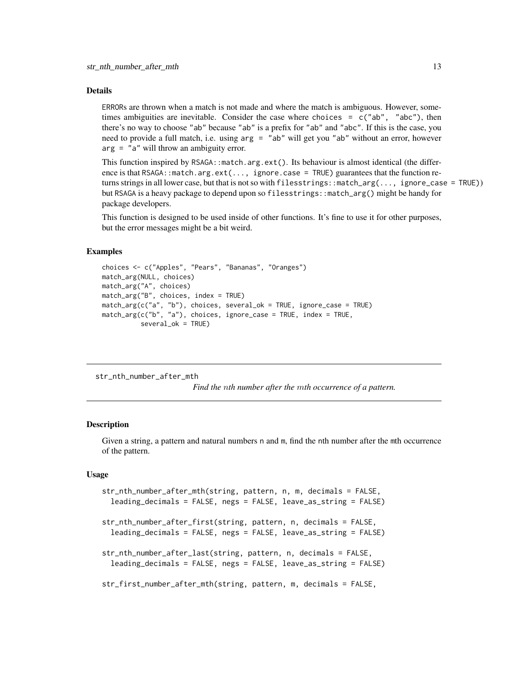#### <span id="page-12-0"></span>Details

ERRORs are thrown when a match is not made and where the match is ambiguous. However, sometimes ambiguities are inevitable. Consider the case where choices =  $c("ab", "abc")$ , then there's no way to choose "ab" because "ab" is a prefix for "ab" and "abc". If this is the case, you need to provide a full match, i.e. using arg = "ab" will get you "ab" without an error, however arg = "a" will throw an ambiguity error.

This function inspired by RSAGA::match.arg.ext(). Its behaviour is almost identical (the difference is that RSAGA::match.arg.ext(..., ignore.case = TRUE) guarantees that the function returns strings in all lower case, but that is not so with filesstrings::match\_arg(..., ignore\_case = TRUE)) but RSAGA is a heavy package to depend upon so filesstrings::match\_arg() might be handy for package developers.

This function is designed to be used inside of other functions. It's fine to use it for other purposes, but the error messages might be a bit weird.

# Examples

```
choices <- c("Apples", "Pears", "Bananas", "Oranges")
match_arg(NULL, choices)
match_arg("A", choices)
match_arg("B", choices, index = TRUE)
match_arg(c("a", "b"), choices, several_ok = TRUE, ignore_case = TRUE)
match_arg(c("b", "a"), choices, ignore_case = TRUE, index = TRUE,
          several_ok = TRUE)
```
str\_nth\_number\_after\_mth

*Find the* n*th number after the* m*th occurrence of a pattern.*

# Description

Given a string, a pattern and natural numbers n and m, find the nth number after the mth occurrence of the pattern.

# Usage

```
str_nth_number_after_mth(string, pattern, n, m, decimals = FALSE,
 leading_decimals = FALSE, negs = FALSE, leave_as_string = FALSE)
str_nth_number_after_first(string, pattern, n, decimals = FALSE,
 leading_decimals = FALSE, negs = FALSE, leave_as_string = FALSE)
str_nth_number_after_last(string, pattern, n, decimals = FALSE,
 leading_decimals = FALSE, negs = FALSE, leave_as_string = FALSE)
str_first_number_after_mth(string, pattern, m, decimals = FALSE,
```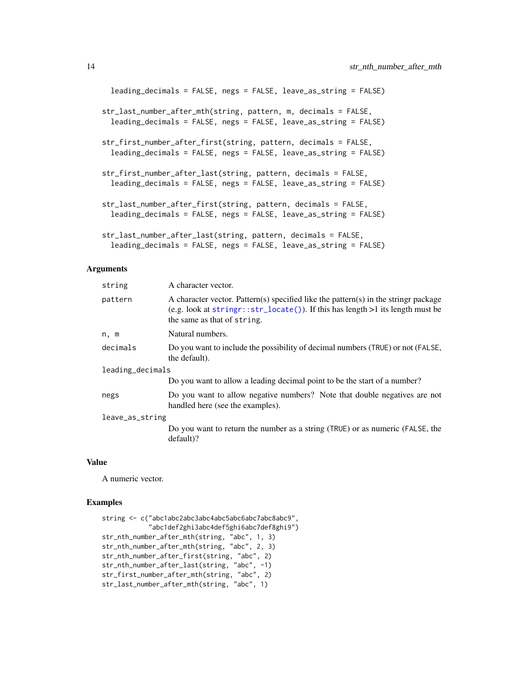```
leading_decimals = FALSE, negs = FALSE, leave_as_string = FALSE)
str_last_number_after_mth(string, pattern, m, decimals = FALSE,
  leading_decimals = FALSE, negs = FALSE, leave_as_string = FALSE)
str_first_number_after_first(string, pattern, decimals = FALSE,
  leading_decimals = FALSE, negs = FALSE, leave_as_string = FALSE)
str_first_number_after_last(string, pattern, decimals = FALSE,
  leading_decimals = FALSE, negs = FALSE, leave_as_string = FALSE)
str_last_number_after_first(string, pattern, decimals = FALSE,
  leading_decimals = FALSE, negs = FALSE, leave_as_string = FALSE)
str_last_number_after_last(string, pattern, decimals = FALSE,
  leading_decimals = FALSE, negs = FALSE, leave_as_string = FALSE)
```
#### Arguments

| string           | A character vector.                                                                                                                                                                                         |  |
|------------------|-------------------------------------------------------------------------------------------------------------------------------------------------------------------------------------------------------------|--|
| pattern          | A character vector. Pattern(s) specified like the pattern(s) in the stringr package<br>(e.g. look at $stringr::str\_located()$ ). If this has length $>1$ its length must be<br>the same as that of string. |  |
| n, m             | Natural numbers.                                                                                                                                                                                            |  |
| decimals         | Do you want to include the possibility of decimal numbers (TRUE) or not (FALSE,<br>the default).                                                                                                            |  |
| leading_decimals |                                                                                                                                                                                                             |  |
|                  | Do you want to allow a leading decimal point to be the start of a number?                                                                                                                                   |  |
| negs             | Do you want to allow negative numbers? Note that double negatives are not<br>handled here (see the examples).                                                                                               |  |
| leave_as_string  |                                                                                                                                                                                                             |  |
|                  | Do you want to return the number as a string (TRUE) or as numeric (FALSE, the<br>$default$ ?                                                                                                                |  |

# Value

A numeric vector.

```
string <- c("abc1abc2abc3abc4abc5abc6abc7abc8abc9",
            "abc1def2ghi3abc4def5ghi6abc7def8ghi9")
str_nth_number_after_mth(string, "abc", 1, 3)
str_nth_number_after_mth(string, "abc", 2, 3)
str_nth_number_after_first(string, "abc", 2)
str_nth_number_after_last(string, "abc", -1)
str_first_number_after_mth(string, "abc", 2)
str_last_number_after_mth(string, "abc", 1)
```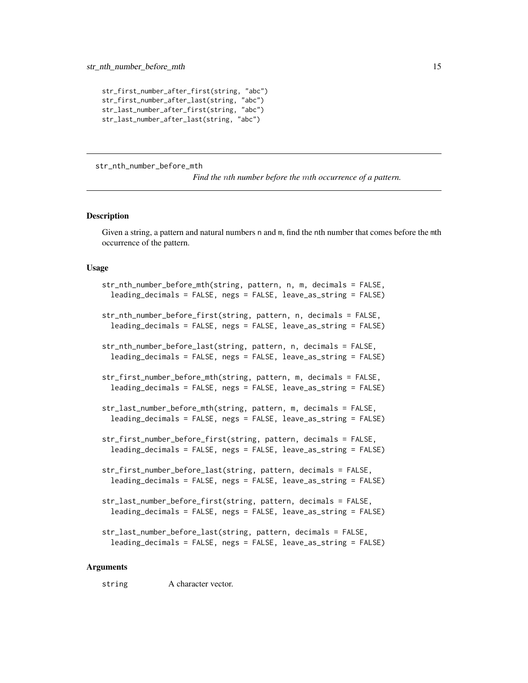```
str_first_number_after_first(string, "abc")
str_first_number_after_last(string, "abc")
str_last_number_after_first(string, "abc")
str_last_number_after_last(string, "abc")
```
str\_nth\_number\_before\_mth

*Find the* n*th number before the* m*th occurrence of a pattern.*

#### **Description**

Given a string, a pattern and natural numbers n and m, find the nth number that comes before the mth occurrence of the pattern.

#### Usage

```
str_nth_number_before_mth(string, pattern, n, m, decimals = FALSE,
  leading_decimals = FALSE, negs = FALSE, leave_as_string = FALSE)
str_nth_number_before_first(string, pattern, n, decimals = FALSE,
  leading_decimals = FALSE, negs = FALSE, leave_as_string = FALSE)
str_nth_number_before_last(string, pattern, n, decimals = FALSE,
  leading_decimals = FALSE, negs = FALSE, leave_as_string = FALSE)
str_first_number_before_mth(string, pattern, m, decimals = FALSE,
  leading_decimals = FALSE, negs = FALSE, leave_as_string = FALSE)
str_last_number_before_mth(string, pattern, m, decimals = FALSE,
  leading_decimals = FALSE, negs = FALSE, leave_as_string = FALSE)
str_first_number_before_first(string, pattern, decimals = FALSE,
  leading_decimals = FALSE, negs = FALSE, leave_as_string = FALSE)
str_first_number_before_last(string, pattern, decimals = FALSE,
  leading_decimals = FALSE, negs = FALSE, leave_as_string = FALSE)
str_last_number_before_first(string, pattern, decimals = FALSE,
  leading_decimals = FALSE, negs = FALSE, leave_as_string = FALSE)
str_last_number_before_last(string, pattern, decimals = FALSE,
```

```
leading_decimals = FALSE, negs = FALSE, leave_as_string = FALSE)
```
#### Arguments

string A character vector.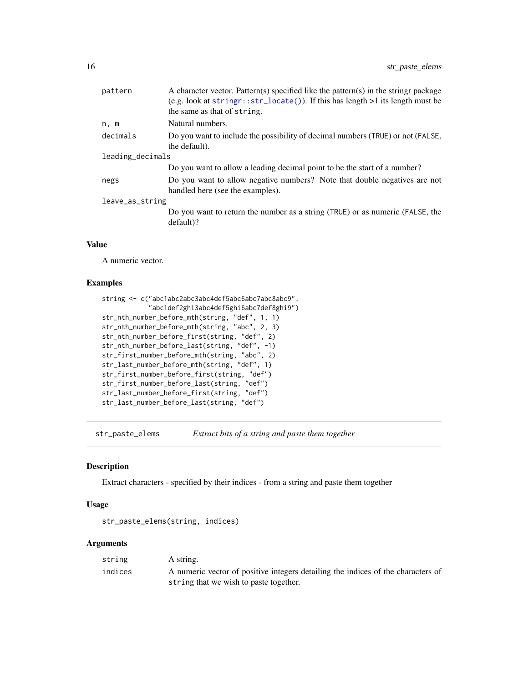<span id="page-15-0"></span>

| pattern         | A character vector. Pattern(s) specified like the pattern(s) in the stringr package<br>(e.g. look at $stringr::str\_located()$ ). If this has length >1 its length must be<br>the same as that of string. |  |  |
|-----------------|-----------------------------------------------------------------------------------------------------------------------------------------------------------------------------------------------------------|--|--|
| n, m            | Natural numbers.                                                                                                                                                                                          |  |  |
| decimals        | Do you want to include the possibility of decimal numbers (TRUE) or not (FALSE,<br>the default).                                                                                                          |  |  |
|                 | leading_decimals                                                                                                                                                                                          |  |  |
|                 | Do you want to allow a leading decimal point to be the start of a number?                                                                                                                                 |  |  |
| negs            | Do you want to allow negative numbers? Note that double negatives are not<br>handled here (see the examples).                                                                                             |  |  |
| leave_as_string |                                                                                                                                                                                                           |  |  |
|                 | Do you want to return the number as a string (TRUE) or as numeric (FALSE, the<br>$default$ ?                                                                                                              |  |  |

# Value

A numeric vector.

# Examples

```
string <- c("abc1abc2abc3abc4def5abc6abc7abc8abc9",
            "abc1def2ghi3abc4def5ghi6abc7def8ghi9")
str_nth_number_before_mth(string, "def", 1, 1)
str_nth_number_before_mth(string, "abc", 2, 3)
str_nth_number_before_first(string, "def", 2)
str_nth_number_before_last(string, "def", -1)
str_first_number_before_mth(string, "abc", 2)
str_last_number_before_mth(string, "def", 1)
str_first_number_before_first(string, "def")
str_first_number_before_last(string, "def")
str_last_number_before_first(string, "def")
str_last_number_before_last(string, "def")
```
str\_paste\_elems *Extract bits of a string and paste them together*

#### Description

Extract characters - specified by their indices - from a string and paste them together

#### Usage

```
str_paste_elems(string, indices)
```
# Arguments

| string  | A string.                                                                        |
|---------|----------------------------------------------------------------------------------|
| indices | A numeric vector of positive integers detailing the indices of the characters of |
|         | string that we wish to paste together.                                           |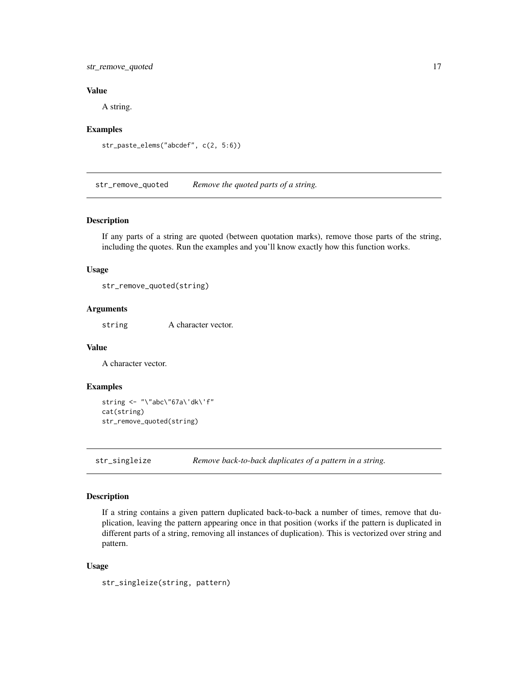# <span id="page-16-0"></span>str\_remove\_quoted 17

# Value

A string.

# Examples

```
str_paste_elems("abcdef", c(2, 5:6))
```
str\_remove\_quoted *Remove the quoted parts of a string.*

#### Description

If any parts of a string are quoted (between quotation marks), remove those parts of the string, including the quotes. Run the examples and you'll know exactly how this function works.

# Usage

```
str_remove_quoted(string)
```
#### Arguments

string A character vector.

#### Value

A character vector.

### Examples

```
string <- "\"abc\"67a\'dk\'f"
cat(string)
str_remove_quoted(string)
```
str\_singleize *Remove back-to-back duplicates of a pattern in a string.*

#### Description

If a string contains a given pattern duplicated back-to-back a number of times, remove that duplication, leaving the pattern appearing once in that position (works if the pattern is duplicated in different parts of a string, removing all instances of duplication). This is vectorized over string and pattern.

#### Usage

```
str_singleize(string, pattern)
```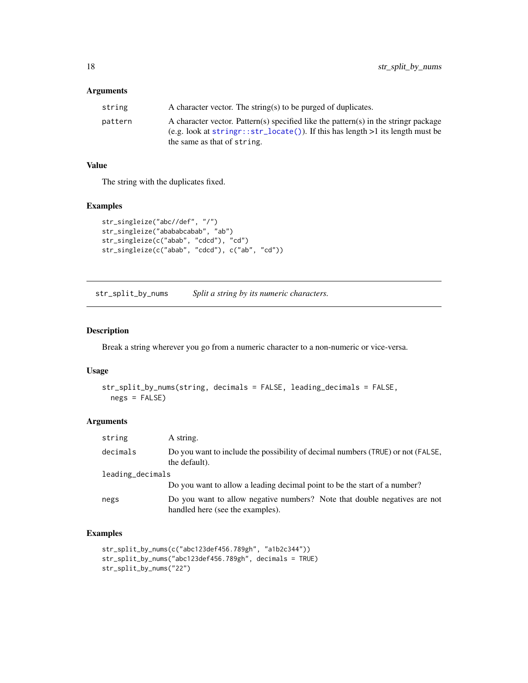# <span id="page-17-0"></span>Arguments

| string  | A character vector. The string(s) to be purged of duplicates.                                                                                                                                               |
|---------|-------------------------------------------------------------------------------------------------------------------------------------------------------------------------------------------------------------|
| pattern | A character vector. Pattern(s) specified like the pattern(s) in the stringr package<br>$(e.g. look at stringr: str\_located()$ ). If this has length $>1$ its length must be<br>the same as that of string. |

# Value

The string with the duplicates fixed.

# Examples

```
str_singleize("abc//def", "/")
str_singleize("abababcabab", "ab")
str_singleize(c("abab", "cdcd"), "cd")
str_singleize(c("abab", "cdcd"), c("ab", "cd"))
```
str\_split\_by\_nums *Split a string by its numeric characters.*

# Description

Break a string wherever you go from a numeric character to a non-numeric or vice-versa.

# Usage

```
str_split_by_nums(string, decimals = FALSE, leading_decimals = FALSE,
 negs = FALSE)
```
# Arguments

| string           | A string.                                                                                                     |  |
|------------------|---------------------------------------------------------------------------------------------------------------|--|
| decimals         | Do you want to include the possibility of decimal numbers (TRUE) or not (FALSE,<br>the default).              |  |
| leading_decimals |                                                                                                               |  |
|                  | Do you want to allow a leading decimal point to be the start of a number?                                     |  |
| negs             | Do you want to allow negative numbers? Note that double negatives are not<br>handled here (see the examples). |  |

```
str_split_by_nums(c("abc123def456.789gh", "a1b2c344"))
str_split_by_nums("abc123def456.789gh", decimals = TRUE)
str_split_by_nums("22")
```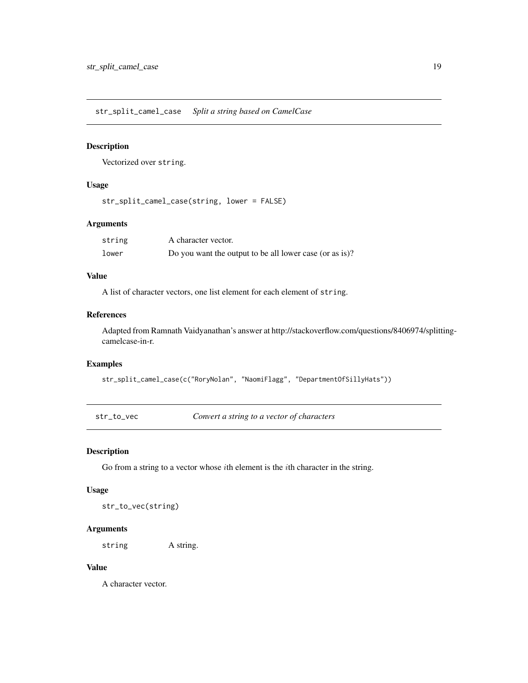<span id="page-18-0"></span>str\_split\_camel\_case *Split a string based on CamelCase*

# Description

Vectorized over string.

# Usage

```
str_split_camel_case(string, lower = FALSE)
```
# Arguments

| string | A character vector.                                     |
|--------|---------------------------------------------------------|
| lower  | Do you want the output to be all lower case (or as is)? |

# Value

A list of character vectors, one list element for each element of string.

# References

Adapted from Ramnath Vaidyanathan's answer at http://stackoverflow.com/questions/8406974/splittingcamelcase-in-r.

#### Examples

```
str_split_camel_case(c("RoryNolan", "NaomiFlagg", "DepartmentOfSillyHats"))
```
str\_to\_vec *Convert a string to a vector of characters*

# Description

Go from a string to a vector whose *i*th element is the *i*th character in the string.

# Usage

str\_to\_vec(string)

# Arguments

string A string.

# Value

A character vector.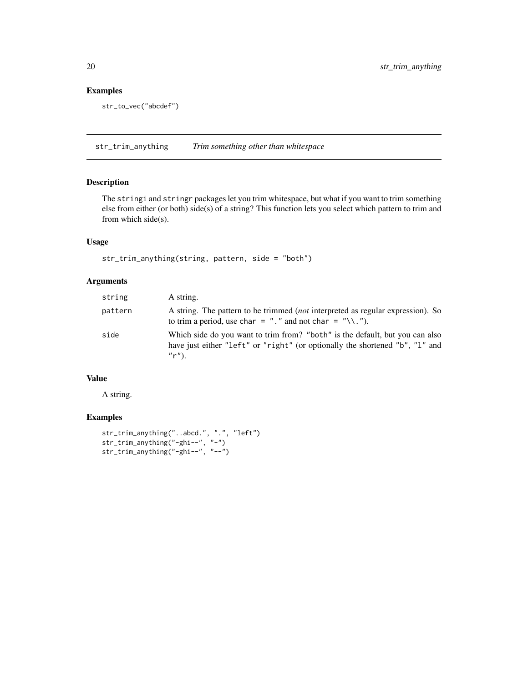# <span id="page-19-0"></span>Examples

```
str_to_vec("abcdef")
```
str\_trim\_anything *Trim something other than whitespace*

# Description

The stringi and stringr packages let you trim whitespace, but what if you want to trim something else from either (or both) side(s) of a string? This function lets you select which pattern to trim and from which side(s).

# Usage

```
str_trim_anything(string, pattern, side = "both")
```
# Arguments

| string  | A string.                                                                                                                                                                 |
|---------|---------------------------------------------------------------------------------------------------------------------------------------------------------------------------|
| pattern | A string. The pattern to be trimmed <i>(not</i> interpreted as regular expression). So<br>to trim a period, use char = "." and not char = "\\.").                         |
| side    | Which side do you want to trim from? "both" is the default, but you can also<br>have just either "left" or "right" (or optionally the shortened "b", "l" and<br>$''r'$ ). |

# Value

A string.

```
str_trim_anything("..abcd.", ".", "left")
str_trim_anything("-ghi--", "-")
str_trim_anything("-ghi--", "--")
```